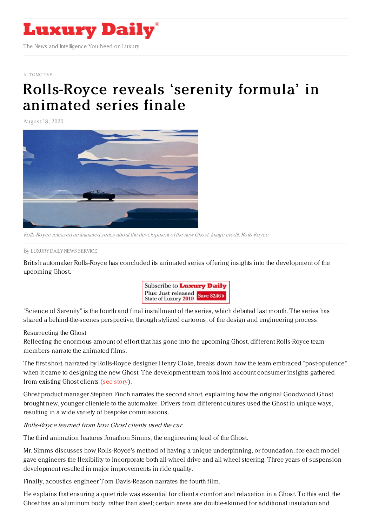

#### [AUTOMOTIVE](https://www.luxurydaily.com/category/sectors/automotive-industry-sectors/)

# [Rolls-Royce](https://www.luxurydaily.com/rolls-royce-reveals-serenity-formula-in-animated-series-finale/) reveals 'serenity formula' in animated series finale

August 18, 2020



Rolls-Royce released an animated series about the development of the new Ghost. Image credit: Rolls-Royce

By LUXURY DAILY NEWS [SERVICE](file:///author/luxury-daily-news-service)

British automaker Rolls-Royce has concluded its animated series offering insights into the development of the upcoming Ghost.



"Science of Serenity" is the fourth and final installment of the series, which debuted last month. The series has shared a behind-the-scenes perspective, through stylized cartoons, of the design and engineering process.

### Resurrecting the Ghost

Reflecting the enormous amount of effort that has gone into the upcoming Ghost, different Rolls-Royce team members narrate the animated films.

The first short, narrated by Rolls-Royce designer Henry Cloke, breaks down how the team embraced "post-opulence" when it came to designing the new Ghost. The development team took into account consumer insights gathered from existing Ghost clients (see [story](https://www.luxurydaily.com/rolls-royce-shares-more-behind-the-scenes-details-of-new-ghost/)).

Ghost product manager Stephen Finch narrates the second short, explaining how the original Goodwood Ghost brought new, younger clientele to the automaker. Drivers from different cultures used the Ghost in unique ways, resulting in a wide variety of bespoke commissions.

### Rolls-Royce learned from how Ghost clients used the car

The third animation features Jonathon Simms, the engineering lead of the Ghost.

Mr. Simms discusses how Rolls-Royce's method of having a unique underpinning, or foundation, for each model gave engineers the flexibility to incorporate both all-wheel drive and all-wheel steering. Three years of suspension development resulted in major improvements in ride quality.

Finally, acoustics engineer Tom Davis-Reason narrates the fourth film.

He explains that ensuring a quiet ride was essential for client's comfort and relaxation in a Ghost. To this end, the Ghost has an aluminum body, rather than steel; certain areas are double-skinned for additional insulation and